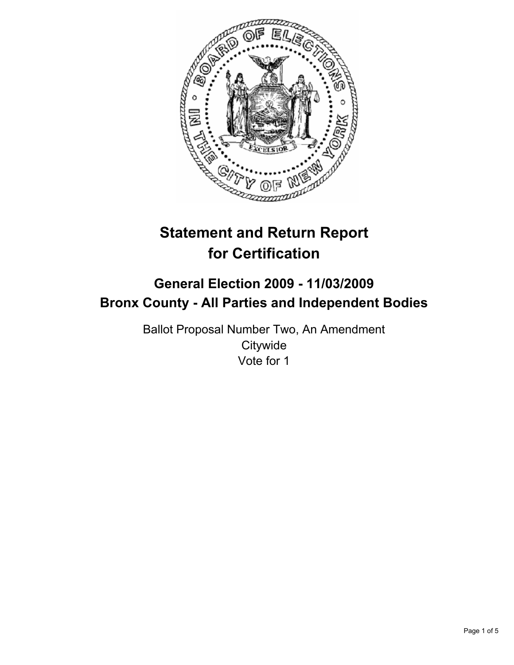

# **Statement and Return Report for Certification**

# **General Election 2009 - 11/03/2009 Bronx County - All Parties and Independent Bodies**

Ballot Proposal Number Two, An Amendment **Citywide** Vote for 1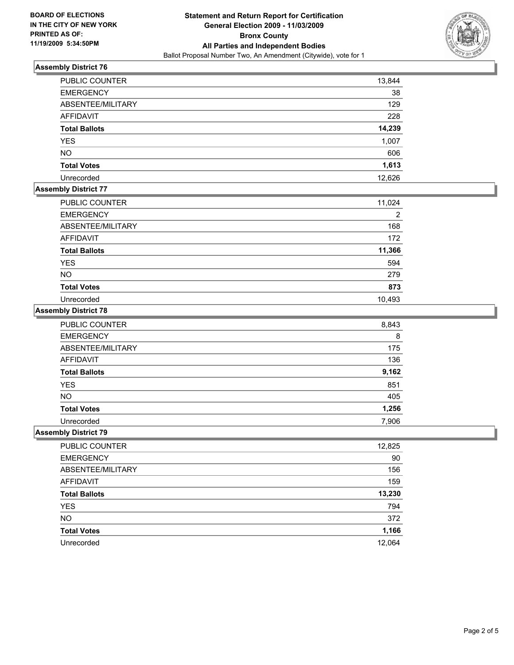

## **Assembly District 76**

| <b>PUBLIC COUNTER</b> | 13,844 |
|-----------------------|--------|
| <b>EMERGENCY</b>      | 38     |
| ABSENTEE/MILITARY     | 129    |
| AFFIDAVIT             | 228    |
| <b>Total Ballots</b>  | 14,239 |
| <b>YES</b>            | 1,007  |
| <b>NO</b>             | 606    |
| <b>Total Votes</b>    | 1,613  |
| Unrecorded            | 12.626 |

# **Assembly District 77**

| PUBLIC COUNTER       | 11,024 |
|----------------------|--------|
| <b>EMERGENCY</b>     | 2      |
| ABSENTEE/MILITARY    | 168    |
| <b>AFFIDAVIT</b>     | 172    |
| <b>Total Ballots</b> | 11,366 |
| <b>YES</b>           | 594    |
| <b>NO</b>            | 279    |
| <b>Total Votes</b>   | 873    |
| Unrecorded           | 10.493 |

#### **Assembly District 78**

| <b>PUBLIC COUNTER</b> | 8,843 |
|-----------------------|-------|
| <b>EMERGENCY</b>      | 8     |
| ABSENTEE/MILITARY     | 175   |
| <b>AFFIDAVIT</b>      | 136   |
| <b>Total Ballots</b>  | 9,162 |
| <b>YES</b>            | 851   |
| <b>NO</b>             | 405   |
| <b>Total Votes</b>    | 1,256 |
| Unrecorded            | 7,906 |

#### **Assembly District 79**

| PUBLIC COUNTER       | 12,825 |
|----------------------|--------|
| <b>EMERGENCY</b>     | 90     |
| ABSENTEE/MILITARY    | 156    |
| <b>AFFIDAVIT</b>     | 159    |
| <b>Total Ballots</b> | 13,230 |
| <b>YES</b>           | 794    |
| <b>NO</b>            | 372    |
| <b>Total Votes</b>   | 1,166  |
| Unrecorded           | 12,064 |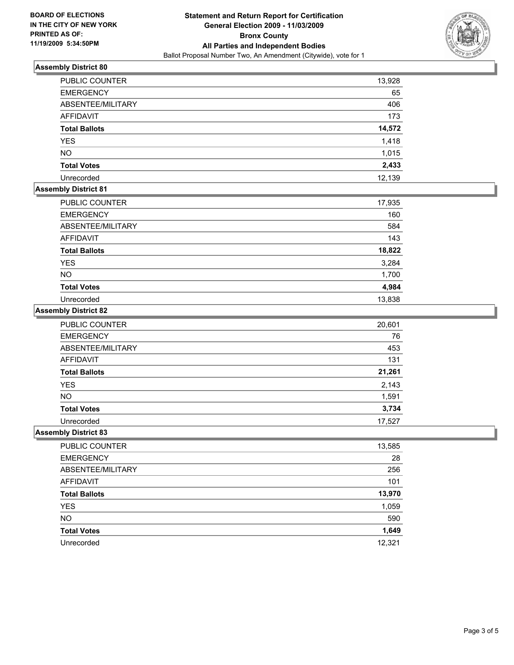

## **Assembly District 80**

| <b>PUBLIC COUNTER</b> | 13,928 |
|-----------------------|--------|
| <b>EMERGENCY</b>      | 65     |
| ABSENTEE/MILITARY     | 406    |
| AFFIDAVIT             | 173    |
| <b>Total Ballots</b>  | 14,572 |
| <b>YES</b>            | 1,418  |
| <b>NO</b>             | 1,015  |
| <b>Total Votes</b>    | 2,433  |
| Unrecorded            | 12,139 |

## **Assembly District 81**

| PUBLIC COUNTER       | 17,935 |
|----------------------|--------|
| <b>EMERGENCY</b>     | 160    |
| ABSENTEE/MILITARY    | 584    |
| <b>AFFIDAVIT</b>     | 143    |
| <b>Total Ballots</b> | 18,822 |
| <b>YES</b>           | 3,284  |
| <b>NO</b>            | 1,700  |
| <b>Total Votes</b>   | 4,984  |
| Unrecorded           | 13,838 |

## **Assembly District 82**

| <b>PUBLIC COUNTER</b> | 20,601 |
|-----------------------|--------|
| <b>EMERGENCY</b>      | 76     |
| ABSENTEE/MILITARY     | 453    |
| <b>AFFIDAVIT</b>      | 131    |
| <b>Total Ballots</b>  | 21,261 |
| <b>YES</b>            | 2,143  |
| <b>NO</b>             | 1,591  |
| <b>Total Votes</b>    | 3,734  |
| Unrecorded            | 17,527 |

#### **Assembly District 83**

| PUBLIC COUNTER       | 13,585 |
|----------------------|--------|
| <b>EMERGENCY</b>     | 28     |
| ABSENTEE/MILITARY    | 256    |
| AFFIDAVIT            | 101    |
| <b>Total Ballots</b> | 13,970 |
| <b>YES</b>           | 1,059  |
| <b>NO</b>            | 590    |
| <b>Total Votes</b>   | 1,649  |
| Unrecorded           | 12.321 |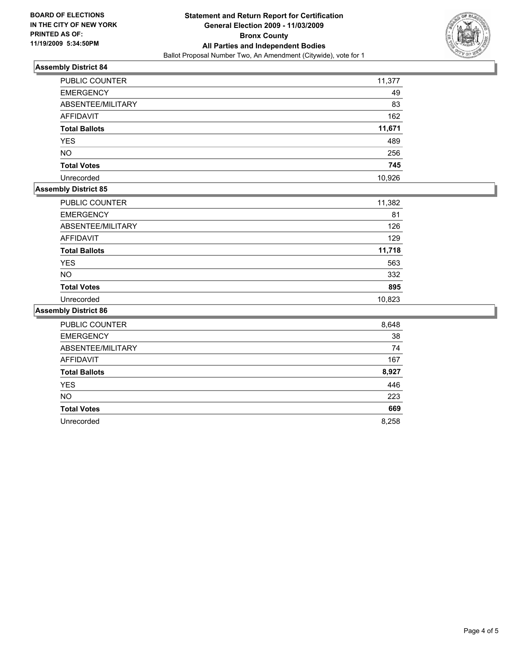

## **Assembly District 84**

| <b>PUBLIC COUNTER</b> | 11,377 |
|-----------------------|--------|
| <b>EMERGENCY</b>      | 49     |
| ABSENTEE/MILITARY     | 83     |
| <b>AFFIDAVIT</b>      | 162    |
| <b>Total Ballots</b>  | 11,671 |
| <b>YES</b>            | 489    |
| <b>NO</b>             | 256    |
| <b>Total Votes</b>    | 745    |
| Unrecorded            | 10.926 |

# **Assembly District 85**

| PUBLIC COUNTER       | 11,382 |
|----------------------|--------|
| <b>EMERGENCY</b>     | 81     |
| ABSENTEE/MILITARY    | 126    |
| <b>AFFIDAVIT</b>     | 129    |
| <b>Total Ballots</b> | 11,718 |
| <b>YES</b>           | 563    |
| <b>NO</b>            | 332    |
| <b>Total Votes</b>   | 895    |
| Unrecorded           | 10,823 |

#### **Assembly District 86**

| <b>PUBLIC COUNTER</b> | 8,648 |
|-----------------------|-------|
| <b>EMERGENCY</b>      | 38    |
| ABSENTEE/MILITARY     | 74    |
| <b>AFFIDAVIT</b>      | 167   |
| <b>Total Ballots</b>  | 8,927 |
| <b>YES</b>            | 446   |
| <b>NO</b>             | 223   |
| <b>Total Votes</b>    | 669   |
| Unrecorded            | 8,258 |